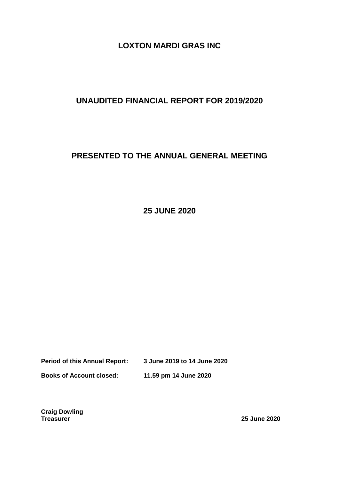## **LOXTON MARDI GRAS INC**

# **UNAUDITED FINANCIAL REPORT FOR 2019/2020**

# **PRESENTED TO THE ANNUAL GENERAL MEETING**

**25 JUNE 2020**

**Period of this Annual Report: 3 June 2019 to 14 June 2020**

**Books of Account closed: 11.59 pm 14 June 2020**

**Craig Dowling**

**Treasurer 25 June 2020**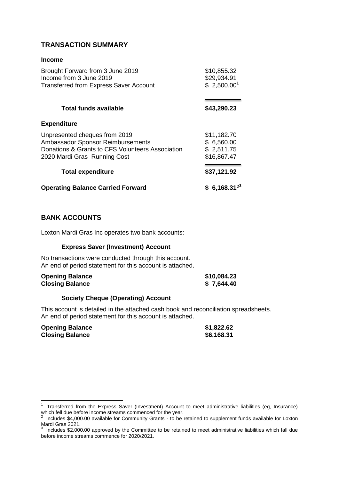## **TRANSACTION SUMMARY**

#### **Income**

| Brought Forward from 3 June 2019<br>Income from 3 June 2019<br><b>Transferred from Express Saver Account</b>                                           | \$10,855.32<br>\$29,934.91<br>\$2,500.00 <sup>1</sup>  |
|--------------------------------------------------------------------------------------------------------------------------------------------------------|--------------------------------------------------------|
| <b>Total funds available</b>                                                                                                                           | \$43,290.23                                            |
| <b>Expenditure</b>                                                                                                                                     |                                                        |
| Unpresented cheques from 2019<br>Ambassador Sponsor Reimbursements<br>Donations & Grants to CFS Volunteers Association<br>2020 Mardi Gras Running Cost | \$11,182.70<br>\$6,560.00<br>\$2,511.75<br>\$16,867.47 |
| <b>Total expenditure</b>                                                                                                                               | \$37,121.92                                            |
| <b>Operating Balance Carried Forward</b>                                                                                                               | $$6,168.31^{23}$                                       |

### **BANK ACCOUNTS**

Loxton Mardi Gras Inc operates two bank accounts:

#### **Express Saver (Investment) Account**

No transactions were conducted through this account. An end of period statement for this account is attached.

| <b>Opening Balance</b> | \$10,084.23 |
|------------------------|-------------|
| <b>Closing Balance</b> | \$7,644.40  |

#### **Society Cheque (Operating) Account**

This account is detailed in the attached cash book and reconciliation spreadsheets. An end of period statement for this account is attached.

| <b>Opening Balance</b> | \$1,822.62 |
|------------------------|------------|
| <b>Closing Balance</b> | \$6,168.31 |

 1 Transferred from the Express Saver (Investment) Account to meet administrative liabilities (eg, Insurance) which fell due before income streams commenced for the year.<br><sup>2</sup> Jackides \$4,000,00 avoilable for Community Crante, to be a

Includes \$4,000.00 available for Community Grants - to be retained to supplement funds available for Loxton

Mardi Gras 2021. 3 Includes \$2,000.00 approved by the Committee to be retained to meet administrative liabilities which fall due before income streams commence for 2020/2021.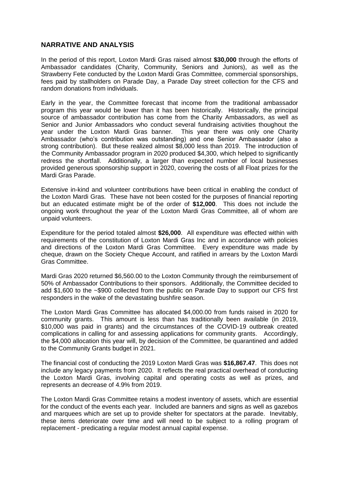#### **NARRATIVE AND ANALYSIS**

In the period of this report, Loxton Mardi Gras raised almost **\$30,000** through the efforts of Ambassador candidates (Charity, Community, Seniors and Juniors), as well as the Strawberry Fete conducted by the Loxton Mardi Gras Committee, commercial sponsorships, fees paid by stallholders on Parade Day, a Parade Day street collection for the CFS and random donations from individuals.

Early in the year, the Committee forecast that income from the traditional ambassador program this year would be lower than it has been historically. Historically, the principal source of ambassador contribution has come from the Charity Ambassadors, as well as Senior and Junior Ambassadors who conduct several fundraising activities thoughout the year under the Loxton Mardi Gras banner. This year there was only one Charity Ambassador (who's contribution was outstanding) and one Senior Ambassador (also a strong contribution). But these realized almost \$8,000 less than 2019. The introduction of the Community Ambassador program in 2020 produced \$4,300, which helped to significantly redress the shortfall. Additionally, a larger than expected number of local businesses provided generous sponsorship support in 2020, covering the costs of all Float prizes for the Mardi Gras Parade.

Extensive in-kind and volunteer contributions have been critical in enabling the conduct of the Loxton Mardi Gras. These have not been costed for the purposes of financial reporting but an educated estimate might be of the order of **\$12,000**. This does not include the ongoing work throughout the year of the Loxton Mardi Gras Committee, all of whom are unpaid volunteers.

Expenditure for the period totaled almost **\$26,000**. All expenditure was effected within with requirements of the constitution of Loxton Mardi Gras Inc and in accordance with policies and directions of the Loxton Mardi Gras Committee. Every expenditure was made by cheque, drawn on the Society Cheque Account, and ratified in arrears by the Loxton Mardi Gras Committee.

Mardi Gras 2020 returned \$6,560.00 to the Loxton Community through the reimbursement of 50% of Ambassador Contributions to their sponsors. Additionally, the Committee decided to add \$1,600 to the ~\$900 collected from the public on Parade Day to support our CFS first responders in the wake of the devastating bushfire season.

The Loxton Mardi Gras Committee has allocated \$4,000.00 from funds raised in 2020 for community grants. This amount is less than has traditionally been available (in 2019, \$10,000 was paid in grants) and the circumstances of the COVID-19 outbreak created complications in calling for and assessing applications for community grants. Accordingly, the \$4,000 allocation this year will, by decision of the Committee, be quarantined and added to the Community Grants budget in 2021.

The financial cost of conducting the 2019 Loxton Mardi Gras was **\$16,867.47**. This does not include any legacy payments from 2020. It reflects the real practical overhead of conducting the Loxton Mardi Gras, involving capital and operating costs as well as prizes, and represents an decrease of 4.9% from 2019.

The Loxton Mardi Gras Committee retains a modest inventory of assets, which are essential for the conduct of the events each year. Included are banners and signs as well as gazebos and marquees which are set up to provide shelter for spectators at the parade. Inevitably, these items deteriorate over time and will need to be subject to a rolling program of replacement - predicating a regular modest annual capital expense.